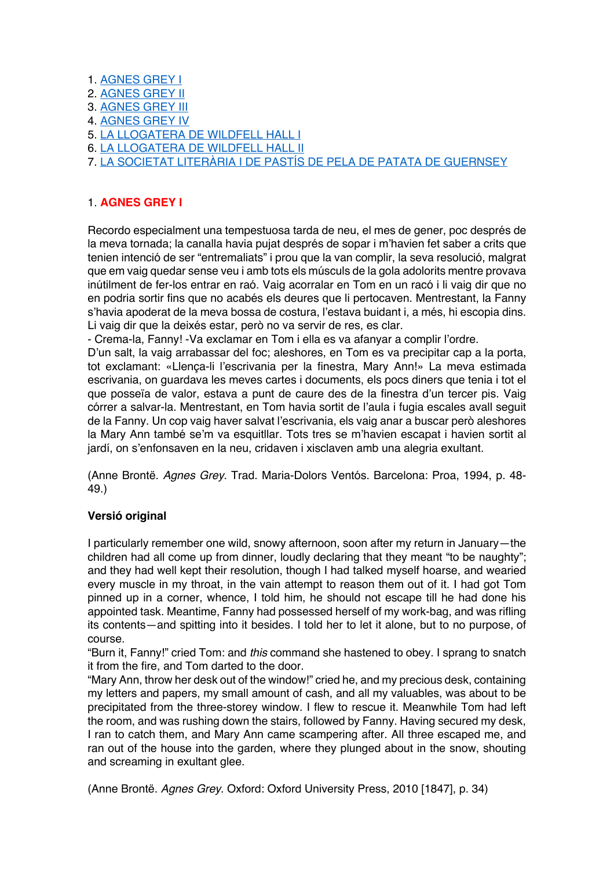- 1. AGNES GREY I
- 2. AGNES GREY II
- 3. AGNES GREY III
- 4. AGNES GREY IV
- 5. LA LLOGATERA DE WILDFELL HALL I
- 6. LA LLOGATERA DE WILDFELL HALL II
- 7. LA SOCIETAT LITERÀRIA I DE PASTÍS DE PELA DE PATATA DE GUERNSEY

# 1. **AGNES GREY I**

Recordo especialment una tempestuosa tarda de neu, el mes de gener, poc després de la meva tornada; la canalla havia pujat després de sopar i m'havien fet saber a crits que tenien intenció de ser "entremaliats" i prou que la van complir, la seva resolució, malgrat que em vaig quedar sense veu i amb tots els músculs de la gola adolorits mentre provava inútilment de fer-los entrar en raó. Vaig acorralar en Tom en un racó i li vaig dir que no en podria sortir fins que no acabés els deures que li pertocaven. Mentrestant, la Fanny s'havia apoderat de la meva bossa de costura, l'estava buidant i, a més, hi escopia dins. Li vaig dir que la deixés estar, però no va servir de res, es clar.

- Crema-la, Fanny! -Va exclamar en Tom i ella es va afanyar a complir l'ordre.

D'un salt, la vaig arrabassar del foc; aleshores, en Tom es va precipitar cap a la porta, tot exclamant: «Llença-li l'escrivania per la finestra, Mary Ann!» La meva estimada escrivania, on guardava les meves cartes i documents, els pocs diners que tenia i tot el que posseïa de valor, estava a punt de caure des de la finestra d'un tercer pis. Vaig córrer a salvar-la. Mentrestant, en Tom havia sortit de l'aula i fugia escales avall seguit de la Fanny. Un cop vaig haver salvat l'escrivania, els vaig anar a buscar però aleshores la Mary Ann també se'm va esquitllar. Tots tres se m'havien escapat i havien sortit al jardí, on s'enfonsaven en la neu, cridaven i xisclaven amb una alegria exultant.

(Anne Brontë. *Agnes Grey*. Trad. Maria-Dolors Ventós. Barcelona: Proa, 1994, p. 48- 49.)

# **Versió original**

I particularly remember one wild, snowy afternoon, soon after my return in January—the children had all come up from dinner, loudly declaring that they meant "to be naughty"; and they had well kept their resolution, though I had talked myself hoarse, and wearied every muscle in my throat, in the vain attempt to reason them out of it. I had got Tom pinned up in a corner, whence, I told him, he should not escape till he had done his appointed task. Meantime, Fanny had possessed herself of my work-bag, and was rifling its contents—and spitting into it besides. I told her to let it alone, but to no purpose, of course.

"Burn it, Fanny!" cried Tom: and *this* command she hastened to obey. I sprang to snatch it from the fire, and Tom darted to the door.

"Mary Ann, throw her desk out of the window!" cried he, and my precious desk, containing my letters and papers, my small amount of cash, and all my valuables, was about to be precipitated from the three-storey window. I flew to rescue it. Meanwhile Tom had left the room, and was rushing down the stairs, followed by Fanny. Having secured my desk, I ran to catch them, and Mary Ann came scampering after. All three escaped me, and ran out of the house into the garden, where they plunged about in the snow, shouting and screaming in exultant glee.

(Anne Brontë. *Agnes Grey*. Oxford: Oxford University Press, 2010 [1847], p. 34)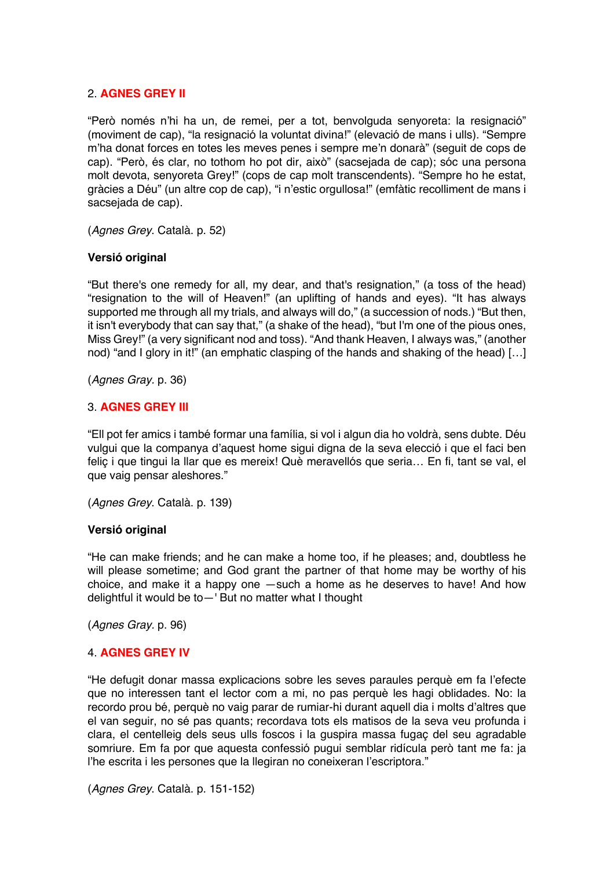## 2. **AGNES GREY II**

"Però només n'hi ha un, de remei, per a tot, benvolguda senyoreta: la resignació" (moviment de cap), "la resignació la voluntat divina!" (elevació de mans i ulls). "Sempre m'ha donat forces en totes les meves penes i sempre me'n donarà" (seguit de cops de cap). "Però, és clar, no tothom ho pot dir, això" (sacsejada de cap); sóc una persona molt devota, senyoreta Grey!" (cops de cap molt transcendents). "Sempre ho he estat, gràcies a Déu" (un altre cop de cap), "i n'estic orgullosa!" (emfàtic recolliment de mans i sacsejada de cap).

(*Agnes Grey*. Català. p. 52)

## **Versió original**

"But there's one remedy for all, my dear, and that's resignation," (a toss of the head) "resignation to the will of Heaven!" (an uplifting of hands and eyes). "It has always supported me through all my trials, and always will do," (a succession of nods.) "But then, it isn't everybody that can say that," (a shake of the head), "but I'm one of the pious ones, Miss Grey!" (a very significant nod and toss). "And thank Heaven, I always was," (another nod) "and I glory in it!" (an emphatic clasping of the hands and shaking of the head) […]

(*Agnes Gray.* p. 36)

## 3. **AGNES GREY III**

"Ell pot fer amics i també formar una família, si vol i algun dia ho voldrà, sens dubte. Déu vulgui que la companya d'aquest home sigui digna de la seva elecció i que el faci ben feliç i que tingui la llar que es mereix! Què meravellós que seria… En fi, tant se val, el que vaig pensar aleshores."

(*Agnes Grey*. Català. p. 139)

#### **Versió original**

"He can make friends; and he can make a home too, if he pleases; and, doubtless he will please sometime; and God grant the partner of that home may be worthy of his choice, and make it a happy one —such a home as he deserves to have! And how delightful it would be to—' But no matter what I thought

(*Agnes Gray.* p. 96)

## 4. **AGNES GREY IV**

"He defugit donar massa explicacions sobre les seves paraules perquè em fa l'efecte que no interessen tant el lector com a mi, no pas perquè les hagi oblidades. No: la recordo prou bé, perquè no vaig parar de rumiar-hi durant aquell dia i molts d'altres que el van seguir, no sé pas quants; recordava tots els matisos de la seva veu profunda i clara, el centelleig dels seus ulls foscos i la guspira massa fugaç del seu agradable somriure. Em fa por que aquesta confessió pugui semblar ridícula però tant me fa: ja l'he escrita i les persones que la llegiran no coneixeran l'escriptora."

(*Agnes Grey*. Català. p. 151-152)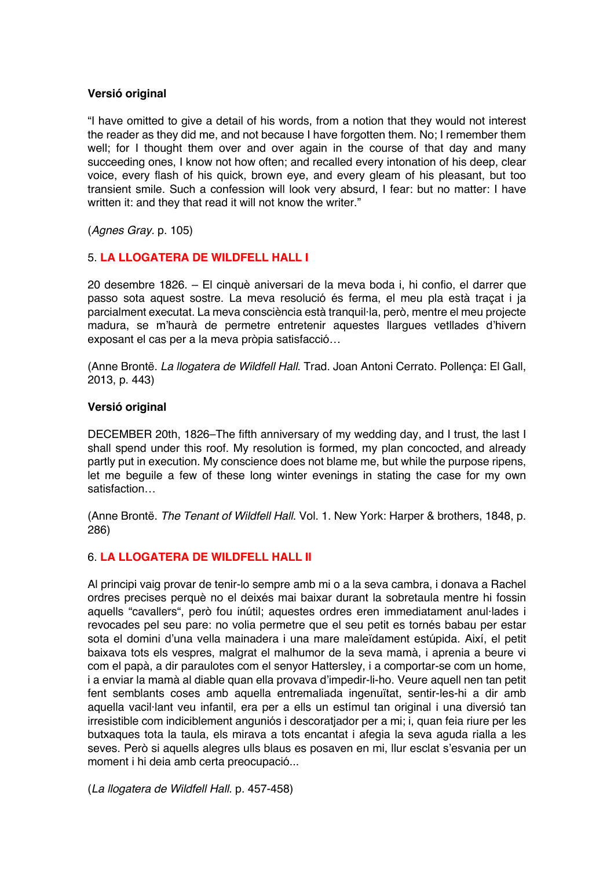## **Versió original**

"I have omitted to give a detail of his words, from a notion that they would not interest the reader as they did me, and not because I have forgotten them. No; I remember them well; for I thought them over and over again in the course of that day and many succeeding ones, I know not how often; and recalled every intonation of his deep, clear voice, every flash of his quick, brown eye, and every gleam of his pleasant, but too transient smile. Such a confession will look very absurd, I fear: but no matter: I have written it: and they that read it will not know the writer."

(*Agnes Gray.* p. 105)

# 5. **LA LLOGATERA DE WILDFELL HALL I**

20 desembre 1826. – El cinquè aniversari de la meva boda i, hi confio, el darrer que passo sota aquest sostre. La meva resolució és ferma, el meu pla està traçat i ja parcialment executat. La meva consciència està tranquil·la, però, mentre el meu projecte madura, se m'haurà de permetre entretenir aquestes llargues vetllades d'hivern exposant el cas per a la meva pròpia satisfacció…

(Anne Brontë. *La llogatera de Wildfell Hall*. Trad. Joan Antoni Cerrato. Pollença: El Gall, 2013, p. 443)

#### **Versió original**

DECEMBER 20th, 1826–The fifth anniversary of my wedding day, and I trust*,* the last I shall spend under this roof. My resolution is formed, my plan concocted, and already partly put in execution. My conscience does not blame me, but while the purpose ripens, let me beguile a few of these long winter evenings in stating the case for my own satisfaction…

(Anne Brontë. *The Tenant of Wildfell Hall*. Vol. 1. New York: Harper & brothers, 1848, p. 286)

# 6. **LA LLOGATERA DE WILDFELL HALL II**

Al principi vaig provar de tenir-lo sempre amb mi o a la seva cambra, i donava a Rachel ordres precises perquè no el deixés mai baixar durant la sobretaula mentre hi fossin aquells "cavallers", però fou inútil; aquestes ordres eren immediatament anul·lades i revocades pel seu pare: no volia permetre que el seu petit es tornés babau per estar sota el domini d'una vella mainadera i una mare maleïdament estúpida. Així, el petit baixava tots els vespres, malgrat el malhumor de la seva mamà, i aprenia a beure vi com el papà, a dir paraulotes com el senyor Hattersley, i a comportar-se com un home, i a enviar la mamà al diable quan ella provava d'impedir-li-ho. Veure aquell nen tan petit fent semblants coses amb aquella entremaliada ingenuïtat, sentir-les-hi a dir amb aquella vacil·lant veu infantil, era per a ells un estímul tan original i una diversió tan irresistible com indiciblement anguniós i descoratjador per a mi; i, quan feia riure per les butxaques tota la taula, els mirava a tots encantat i afegia la seva aguda rialla a les seves. Però si aquells alegres ulls blaus es posaven en mi, llur esclat s'esvania per un moment i hi deia amb certa preocupació...

(*La llogatera de Wildfell Hall*. p. 457-458)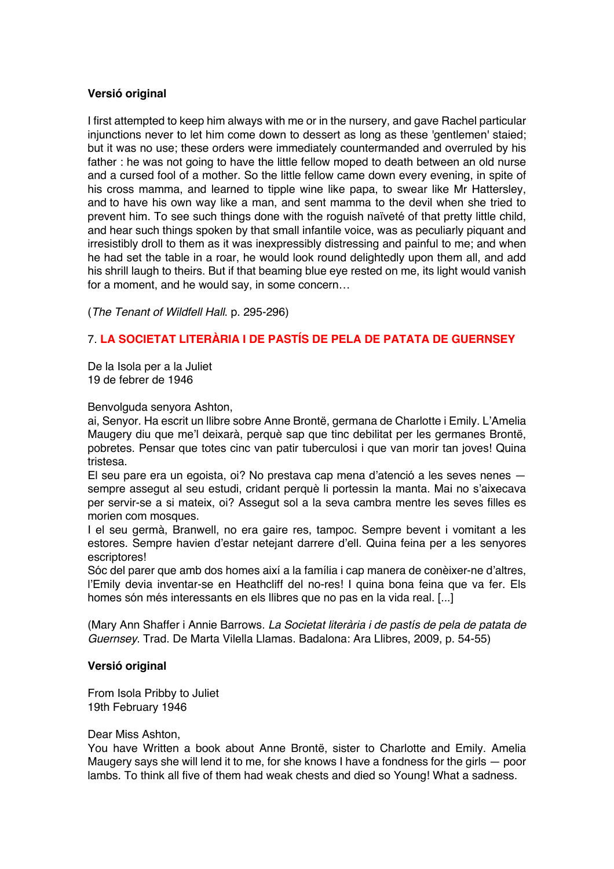## **Versió original**

I first attempted to keep him always with me or in the nursery, and gave Rachel particular injunctions never to let him come down to dessert as long as these 'gentlemen' staied; but it was no use; these orders were immediately countermanded and overruled by his father : he was not going to have the little fellow moped to death between an old nurse and a cursed fool of a mother. So the little fellow came down every evening, in spite of his cross mamma, and learned to tipple wine like papa, to swear like Mr Hattersley, and to have his own way like a man, and sent mamma to the devil when she tried to prevent him. To see such things done with the roguish naïveté of that pretty little child, and hear such things spoken by that small infantile voice, was as peculiarly piquant and irresistibly droll to them as it was inexpressibly distressing and painful to me; and when he had set the table in a roar, he would look round delightedly upon them all, and add his shrill laugh to theirs. But if that beaming blue eye rested on me, its light would vanish for a moment, and he would say, in some concern…

(*The Tenant of Wildfell Hall*. p. 295-296)

# 7. **LA SOCIETAT LITERÀRIA I DE PASTÍS DE PELA DE PATATA DE GUERNSEY**

De la Isola per a la Juliet 19 de febrer de 1946

Benvolguda senyora Ashton,

ai, Senyor. Ha escrit un llibre sobre Anne Brontë, germana de Charlotte i Emily. L'Amelia Maugery diu que me'l deixarà, perquè sap que tinc debilitat per les germanes Brontë, pobretes. Pensar que totes cinc van patir tuberculosi i que van morir tan joves! Quina tristesa.

El seu pare era un egoista, oi? No prestava cap mena d'atenció a les seves nenes sempre assegut al seu estudi, cridant perquè li portessin la manta. Mai no s'aixecava per servir-se a si mateix, oi? Assegut sol a la seva cambra mentre les seves filles es morien com mosques.

I el seu germà, Branwell, no era gaire res, tampoc. Sempre bevent i vomitant a les estores. Sempre havien d'estar netejant darrere d'ell. Quina feina per a les senyores escriptores!

Sóc del parer que amb dos homes així a la família i cap manera de conèixer-ne d'altres, l'Emily devia inventar-se en Heathcliff del no-res! I quina bona feina que va fer. Els homes són més interessants en els llibres que no pas en la vida real. [...]

(Mary Ann Shaffer i Annie Barrows. *La Societat literària i de pastís de pela de patata de Guernsey*. Trad. De Marta Vilella Llamas. Badalona: Ara Llibres, 2009, p. 54-55)

#### **Versió original**

From Isola Pribby to Juliet 19th February 1946

Dear Miss Ashton,

You have Written a book about Anne Brontë, sister to Charlotte and Emily. Amelia Maugery says she will lend it to me, for she knows I have a fondness for the girls — poor lambs. To think all five of them had weak chests and died so Young! What a sadness.